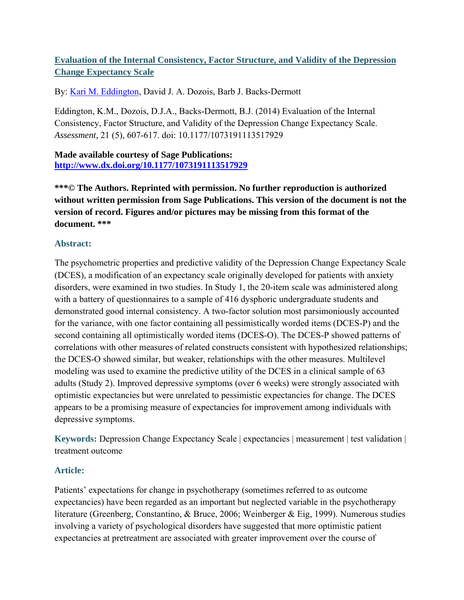# **Evaluation of the Internal Consistency, Factor Structure, and Validity of the Depression Change Expectancy Scale**

By: Kari M. Eddington, David J. A. Dozois, Barb J. Backs-Dermott

Eddington, K.M., Dozois, D.J.A., Backs-Dermott, B.J. (2014) Evaluation of the Internal Consistency, Factor Structure, and Validity of the Depression Change Expectancy Scale. *Assessment,* 21 (5), 607-617. doi: 10.1177/1073191113517929

**Made available courtesy of Sage Publications: http://www.dx.doi.org/10.1177/1073191113517929**

**\*\*\*© The Authors. Reprinted with permission. No further reproduction is authorized without written permission from Sage Publications. This version of the document is not the version of record. Figures and/or pictures may be missing from this format of the document. \*\*\*** 

### **Abstract:**

The psychometric properties and predictive validity of the Depression Change Expectancy Scale (DCES), a modification of an expectancy scale originally developed for patients with anxiety disorders, were examined in two studies. In Study 1, the 20-item scale was administered along with a battery of questionnaires to a sample of 416 dysphoric undergraduate students and demonstrated good internal consistency. A two-factor solution most parsimoniously accounted for the variance, with one factor containing all pessimistically worded items (DCES-P) and the second containing all optimistically worded items (DCES-O). The DCES-P showed patterns of correlations with other measures of related constructs consistent with hypothesized relationships; the DCES-O showed similar, but weaker, relationships with the other measures. Multilevel modeling was used to examine the predictive utility of the DCES in a clinical sample of 63 adults (Study 2). Improved depressive symptoms (over 6 weeks) were strongly associated with optimistic expectancies but were unrelated to pessimistic expectancies for change. The DCES appears to be a promising measure of expectancies for improvement among individuals with depressive symptoms.

**Keywords:** Depression Change Expectancy Scale | expectancies | measurement | test validation | treatment outcome

### **Article:**

Patients' expectations for change in psychotherapy (sometimes referred to as outcome expectancies) have been regarded as an important but neglected variable in the psychotherapy literature (Greenberg, Constantino, & Bruce, 2006; Weinberger & Eig, 1999). Numerous studies involving a variety of psychological disorders have suggested that more optimistic patient expectancies at pretreatment are associated with greater improvement over the course of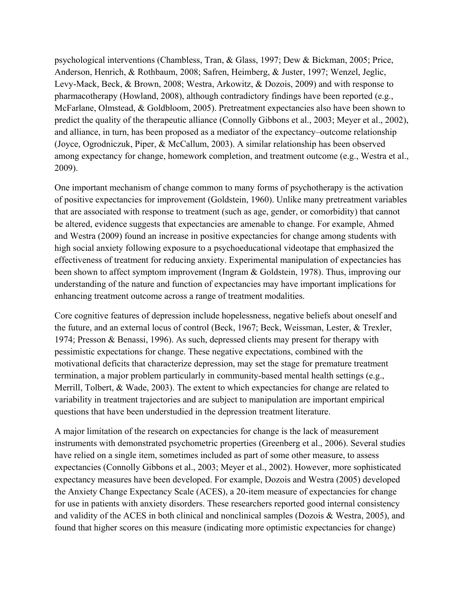psychological interventions (Chambless, Tran, & Glass, 1997; Dew & Bickman, 2005; Price, Anderson, Henrich, & Rothbaum, 2008; Safren, Heimberg, & Juster, 1997; Wenzel, Jeglic, Levy-Mack, Beck, & Brown, 2008; Westra, Arkowitz, & Dozois, 2009) and with response to pharmacotherapy (Howland, 2008), although contradictory findings have been reported (e.g., McFarlane, Olmstead, & Goldbloom, 2005). Pretreatment expectancies also have been shown to predict the quality of the therapeutic alliance (Connolly Gibbons et al., 2003; Meyer et al., 2002), and alliance, in turn, has been proposed as a mediator of the expectancy–outcome relationship (Joyce, Ogrodniczuk, Piper, & McCallum, 2003). A similar relationship has been observed among expectancy for change, homework completion, and treatment outcome (e.g., Westra et al., 2009).

One important mechanism of change common to many forms of psychotherapy is the activation of positive expectancies for improvement (Goldstein, 1960). Unlike many pretreatment variables that are associated with response to treatment (such as age, gender, or comorbidity) that cannot be altered, evidence suggests that expectancies are amenable to change. For example, Ahmed and Westra (2009) found an increase in positive expectancies for change among students with high social anxiety following exposure to a psychoeducational videotape that emphasized the effectiveness of treatment for reducing anxiety. Experimental manipulation of expectancies has been shown to affect symptom improvement (Ingram & Goldstein, 1978). Thus, improving our understanding of the nature and function of expectancies may have important implications for enhancing treatment outcome across a range of treatment modalities.

Core cognitive features of depression include hopelessness, negative beliefs about oneself and the future, and an external locus of control (Beck, 1967; Beck, Weissman, Lester, & Trexler, 1974; Presson & Benassi, 1996). As such, depressed clients may present for therapy with pessimistic expectations for change. These negative expectations, combined with the motivational deficits that characterize depression, may set the stage for premature treatment termination, a major problem particularly in community-based mental health settings (e.g., Merrill, Tolbert, & Wade, 2003). The extent to which expectancies for change are related to variability in treatment trajectories and are subject to manipulation are important empirical questions that have been understudied in the depression treatment literature.

A major limitation of the research on expectancies for change is the lack of measurement instruments with demonstrated psychometric properties (Greenberg et al., 2006). Several studies have relied on a single item, sometimes included as part of some other measure, to assess expectancies (Connolly Gibbons et al., 2003; Meyer et al., 2002). However, more sophisticated expectancy measures have been developed. For example, Dozois and Westra (2005) developed the Anxiety Change Expectancy Scale (ACES), a 20-item measure of expectancies for change for use in patients with anxiety disorders. These researchers reported good internal consistency and validity of the ACES in both clinical and nonclinical samples (Dozois & Westra, 2005), and found that higher scores on this measure (indicating more optimistic expectancies for change)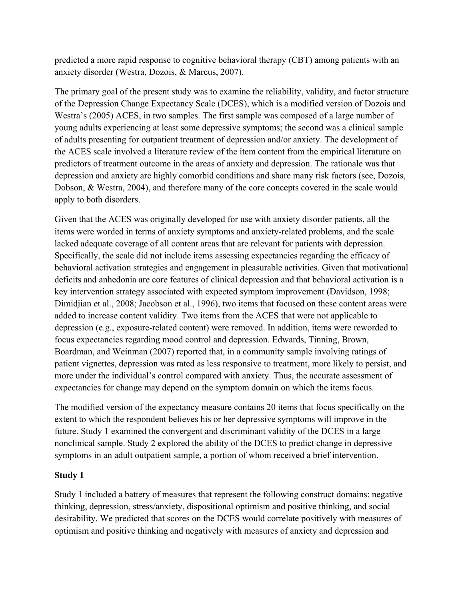predicted a more rapid response to cognitive behavioral therapy (CBT) among patients with an anxiety disorder (Westra, Dozois, & Marcus, 2007).

The primary goal of the present study was to examine the reliability, validity, and factor structure of the Depression Change Expectancy Scale (DCES), which is a modified version of Dozois and Westra's (2005) ACES, in two samples. The first sample was composed of a large number of young adults experiencing at least some depressive symptoms; the second was a clinical sample of adults presenting for outpatient treatment of depression and/or anxiety. The development of the ACES scale involved a literature review of the item content from the empirical literature on predictors of treatment outcome in the areas of anxiety and depression. The rationale was that depression and anxiety are highly comorbid conditions and share many risk factors (see, Dozois, Dobson, & Westra, 2004), and therefore many of the core concepts covered in the scale would apply to both disorders.

Given that the ACES was originally developed for use with anxiety disorder patients, all the items were worded in terms of anxiety symptoms and anxiety-related problems, and the scale lacked adequate coverage of all content areas that are relevant for patients with depression. Specifically, the scale did not include items assessing expectancies regarding the efficacy of behavioral activation strategies and engagement in pleasurable activities. Given that motivational deficits and anhedonia are core features of clinical depression and that behavioral activation is a key intervention strategy associated with expected symptom improvement (Davidson, 1998; Dimidjian et al., 2008; Jacobson et al., 1996), two items that focused on these content areas were added to increase content validity. Two items from the ACES that were not applicable to depression (e.g., exposure-related content) were removed. In addition, items were reworded to focus expectancies regarding mood control and depression. Edwards, Tinning, Brown, Boardman, and Weinman (2007) reported that, in a community sample involving ratings of patient vignettes, depression was rated as less responsive to treatment, more likely to persist, and more under the individual's control compared with anxiety. Thus, the accurate assessment of expectancies for change may depend on the symptom domain on which the items focus.

The modified version of the expectancy measure contains 20 items that focus specifically on the extent to which the respondent believes his or her depressive symptoms will improve in the future. Study 1 examined the convergent and discriminant validity of the DCES in a large nonclinical sample. Study 2 explored the ability of the DCES to predict change in depressive symptoms in an adult outpatient sample, a portion of whom received a brief intervention.

# **Study 1**

Study 1 included a battery of measures that represent the following construct domains: negative thinking, depression, stress/anxiety, dispositional optimism and positive thinking, and social desirability. We predicted that scores on the DCES would correlate positively with measures of optimism and positive thinking and negatively with measures of anxiety and depression and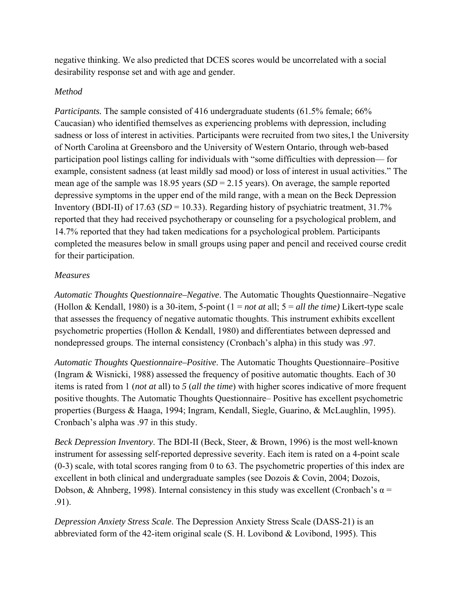negative thinking. We also predicted that DCES scores would be uncorrelated with a social desirability response set and with age and gender.

## *Method*

*Participants.* The sample consisted of 416 undergraduate students (61.5% female; 66% Caucasian) who identified themselves as experiencing problems with depression, including sadness or loss of interest in activities. Participants were recruited from two sites,1 the University of North Carolina at Greensboro and the University of Western Ontario, through web-based participation pool listings calling for individuals with "some difficulties with depression— for example, consistent sadness (at least mildly sad mood) or loss of interest in usual activities." The mean age of the sample was 18.95 years (*SD* = 2.15 years). On average, the sample reported depressive symptoms in the upper end of the mild range, with a mean on the Beck Depression Inventory (BDI-II) of 17.63 (*SD* = 10.33). Regarding history of psychiatric treatment, 31.7% reported that they had received psychotherapy or counseling for a psychological problem, and 14.7% reported that they had taken medications for a psychological problem. Participants completed the measures below in small groups using paper and pencil and received course credit for their participation.

# *Measures*

*Automatic Thoughts Questionnaire–Negative*. The Automatic Thoughts Questionnaire–Negative (Hollon & Kendall, 1980) is a 30-item, 5-point (1 = *not at* all; 5 = *all the time)* Likert-type scale that assesses the frequency of negative automatic thoughts. This instrument exhibits excellent psychometric properties (Hollon & Kendall, 1980) and differentiates between depressed and nondepressed groups. The internal consistency (Cronbach's alpha) in this study was .97.

*Automatic Thoughts Questionnaire–Positive*. The Automatic Thoughts Questionnaire–Positive (Ingram & Wisnicki, 1988) assessed the frequency of positive automatic thoughts. Each of 30 items is rated from 1 (*not at* all) to *5* (*all the time*) with higher scores indicative of more frequent positive thoughts. The Automatic Thoughts Questionnaire– Positive has excellent psychometric properties (Burgess & Haaga, 1994; Ingram, Kendall, Siegle, Guarino, & McLaughlin, 1995). Cronbach's alpha was .97 in this study.

*Beck Depression Inventory*. The BDI-II (Beck, Steer, & Brown, 1996) is the most well-known instrument for assessing self-reported depressive severity. Each item is rated on a 4-point scale (0-3) scale, with total scores ranging from 0 to 63. The psychometric properties of this index are excellent in both clinical and undergraduate samples (see Dozois & Covin, 2004; Dozois, Dobson, & Ahnberg, 1998). Internal consistency in this study was excellent (Cronbach's  $\alpha$  = .91).

*Depression Anxiety Stress Scale*. The Depression Anxiety Stress Scale (DASS-21) is an abbreviated form of the 42-item original scale  $(S. H.$  Lovibond  $&$  Lovibond, 1995). This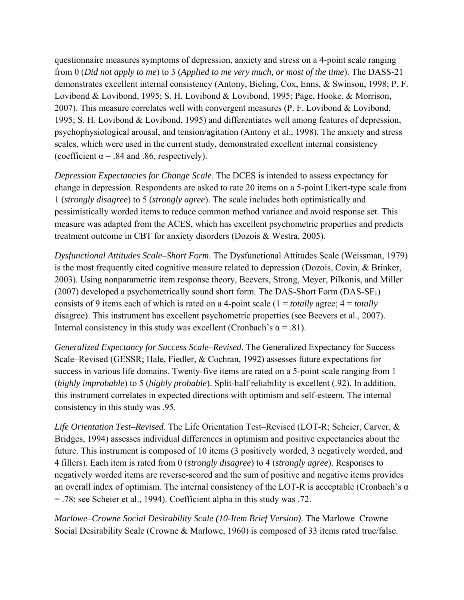questionnaire measures symptoms of depression, anxiety and stress on a 4-point scale ranging from 0 (*Did not apply to me*) to 3 (*Applied to me very much, or most of the time*). The DASS-21 demonstrates excellent internal consistency (Antony, Bieling, Cox, Enns, & Swinson, 1998; P. F. Lovibond & Lovibond, 1995; S. H. Lovibond & Lovibond, 1995; Page, Hooke, & Morrison, 2007). This measure correlates well with convergent measures (P. F. Lovibond & Lovibond, 1995; S. H. Lovibond & Lovibond, 1995) and differentiates well among features of depression, psychophysiological arousal, and tension/agitation (Antony et al., 1998). The anxiety and stress scales, which were used in the current study, demonstrated excellent internal consistency (coefficient  $\alpha$  = .84 and .86, respectively).

*Depression Expectancies for Change Scale*. The DCES is intended to assess expectancy for change in depression. Respondents are asked to rate 20 items on a 5-point Likert-type scale from 1 (*strongly disagree*) to 5 (*strongly agree*). The scale includes both optimistically and pessimistically worded items to reduce common method variance and avoid response set. This measure was adapted from the ACES, which has excellent psychometric properties and predicts treatment outcome in CBT for anxiety disorders (Dozois & Westra, 2005).

*Dysfunctional Attitudes Scale–Short Form*. The Dysfunctional Attitudes Scale (Weissman, 1979) is the most frequently cited cognitive measure related to depression (Dozois, Covin, & Brinker, 2003). Using nonparametric item response theory, Beevers, Strong, Meyer, Pilkonis, and Miller (2007) developed a psychometrically sound short form. The DAS-Short Form (DAS-SF1) consists of 9 items each of which is rated on a 4-point scale (1 = *totally* agree; 4 = *totally*  disagree). This instrument has excellent psychometric properties (see Beevers et al., 2007). Internal consistency in this study was excellent (Cronbach's  $\alpha$  = .81).

*Generalized Expectancy for Success Scale–Revised*. The Generalized Expectancy for Success Scale–Revised (GESSR; Hale, Fiedler, & Cochran, 1992) assesses future expectations for success in various life domains. Twenty-five items are rated on a 5-point scale ranging from 1 (*highly improbable*) to 5 (*highly probable*). Split-half reliability is excellent (.92). In addition, this instrument correlates in expected directions with optimism and self-esteem. The internal consistency in this study was .95.

*Life Orientation Test–Revised*. The Life Orientation Test–Revised (LOT-R; Scheier, Carver, & Bridges, 1994) assesses individual differences in optimism and positive expectancies about the future. This instrument is composed of 10 items (3 positively worded, 3 negatively worded, and 4 fillers). Each item is rated from 0 (*strongly disagree*) to 4 (*strongly agree*). Responses to negatively worded items are reverse-scored and the sum of positive and negative items provides an overall index of optimism. The internal consistency of the LOT-R is acceptable (Cronbach's  $\alpha$ ) = .78; see Scheier et al., 1994). Coefficient alpha in this study was .72.

*Marlowe–Crowne Social Desirability Scale (10-Item Brief Version)*. The Marlowe–Crowne Social Desirability Scale (Crowne & Marlowe, 1960) is composed of 33 items rated true/false.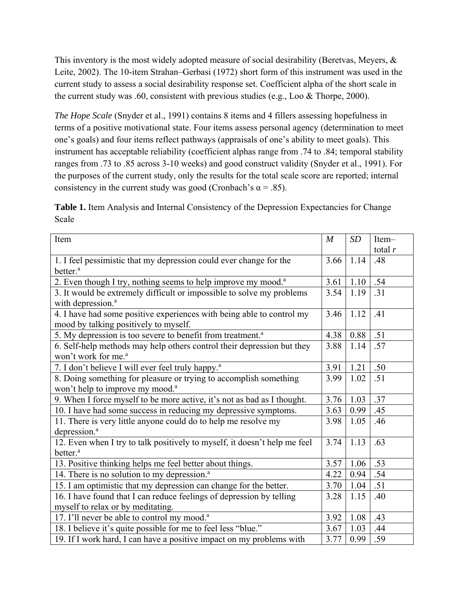This inventory is the most widely adopted measure of social desirability (Beretvas, Meyers, & Leite, 2002). The 10-item Strahan–Gerbasi (1972) short form of this instrument was used in the current study to assess a social desirability response set. Coefficient alpha of the short scale in the current study was .60, consistent with previous studies (e.g., Loo & Thorpe, 2000).

*The Hope Scale* (Snyder et al., 1991) contains 8 items and 4 fillers assessing hopefulness in terms of a positive motivational state. Four items assess personal agency (determination to meet one's goals) and four items reflect pathways (appraisals of one's ability to meet goals). This instrument has acceptable reliability (coefficient alphas range from .74 to .84; temporal stability ranges from .73 to .85 across 3-10 weeks) and good construct validity (Snyder et al., 1991). For the purposes of the current study, only the results for the total scale score are reported; internal consistency in the current study was good (Cronbach's  $\alpha$  = .85).

Table 1. Item Analysis and Internal Consistency of the Depression Expectancies for Change Scale

| Item                                                                      | $\boldsymbol{M}$ | SD   | Item-     |
|---------------------------------------------------------------------------|------------------|------|-----------|
|                                                                           |                  |      | total $r$ |
| 1. I feel pessimistic that my depression could ever change for the        | 3.66             | 1.14 | .48       |
| better. <sup>a</sup>                                                      |                  |      |           |
| 2. Even though I try, nothing seems to help improve my mood. <sup>a</sup> | 3.61             | 1.10 | .54       |
| 3. It would be extremely difficult or impossible to solve my problems     | 3.54             | 1.19 | .31       |
| with depression. <sup>a</sup>                                             |                  |      |           |
| 4. I have had some positive experiences with being able to control my     | 3.46             | 1.12 | .41       |
| mood by talking positively to myself.                                     |                  |      |           |
| 5. My depression is too severe to benefit from treatment. <sup>a</sup>    | 4.38             | 0.88 | .51       |
| 6. Self-help methods may help others control their depression but they    | 3.88             | 1.14 | .57       |
| won't work for me. <sup>a</sup>                                           |                  |      |           |
| 7. I don't believe I will ever feel truly happy. <sup>a</sup>             | 3.91             | 1.21 | .50       |
| 8. Doing something for pleasure or trying to accomplish something         | 3.99             | 1.02 | .51       |
| won't help to improve my mood. <sup>a</sup>                               |                  |      |           |
| 9. When I force myself to be more active, it's not as bad as I thought.   | 3.76             | 1.03 | .37       |
| 10. I have had some success in reducing my depressive symptoms.           | 3.63             | 0.99 | .45       |
| 11. There is very little anyone could do to help me resolve my            | 3.98             | 1.05 | .46       |
| depression. <sup>a</sup>                                                  |                  |      |           |
| 12. Even when I try to talk positively to myself, it doesn't help me feel | 3.74             | 1.13 | .63       |
| better. <sup>a</sup>                                                      |                  |      |           |
| 13. Positive thinking helps me feel better about things.                  | 3.57             | 1.06 | .53       |
| 14. There is no solution to my depression. <sup>a</sup>                   | 4.22             | 0.94 | .54       |
| 15. I am optimistic that my depression can change for the better.         | 3.70             | 1.04 | .51       |
| 16. I have found that I can reduce feelings of depression by telling      | 3.28             | 1.15 | .40       |
| myself to relax or by meditating.                                         |                  |      |           |
| 17. I'll never be able to control my mood. <sup>a</sup>                   | 3.92             | 1.08 | .43       |
| 18. I believe it's quite possible for me to feel less "blue."             | 3.67             | 1.03 | .44       |
| 19. If I work hard, I can have a positive impact on my problems with      | 3.77             | 0.99 | .59       |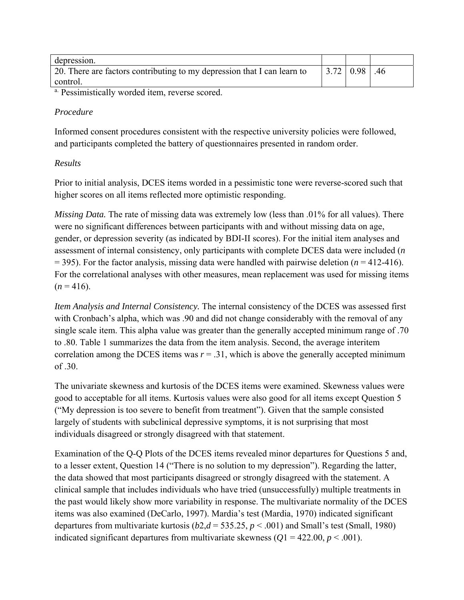| 20. There are factors contributing to my depression that I can learn to | $3.72 \,   \, 0.98$ | .46 |
|-------------------------------------------------------------------------|---------------------|-----|
| control.                                                                |                     |     |

a. Pessimistically worded item, reverse scored.

## *Procedure*

Informed consent procedures consistent with the respective university policies were followed, and participants completed the battery of questionnaires presented in random order.

## *Results*

Prior to initial analysis, DCES items worded in a pessimistic tone were reverse-scored such that higher scores on all items reflected more optimistic responding.

*Missing Data.* The rate of missing data was extremely low (less than .01% for all values). There were no significant differences between participants with and without missing data on age, gender, or depression severity (as indicated by BDI-II scores). For the initial item analyses and assessment of internal consistency, only participants with complete DCES data were included (*n*   $=$  395). For the factor analysis, missing data were handled with pairwise deletion ( $n = 412-416$ ). For the correlational analyses with other measures, mean replacement was used for missing items  $(n = 416)$ .

*Item Analysis and Internal Consistency.* The internal consistency of the DCES was assessed first with Cronbach's alpha, which was .90 and did not change considerably with the removal of any single scale item. This alpha value was greater than the generally accepted minimum range of .70 to .80. Table 1 summarizes the data from the item analysis. Second, the average interitem correlation among the DCES items was  $r = .31$ , which is above the generally accepted minimum of .30.

The univariate skewness and kurtosis of the DCES items were examined. Skewness values were good to acceptable for all items. Kurtosis values were also good for all items except Question 5 ("My depression is too severe to benefit from treatment"). Given that the sample consisted largely of students with subclinical depressive symptoms, it is not surprising that most individuals disagreed or strongly disagreed with that statement.

Examination of the Q-Q Plots of the DCES items revealed minor departures for Questions 5 and, to a lesser extent, Question 14 ("There is no solution to my depression"). Regarding the latter, the data showed that most participants disagreed or strongly disagreed with the statement. A clinical sample that includes individuals who have tried (unsuccessfully) multiple treatments in the past would likely show more variability in response. The multivariate normality of the DCES items was also examined (DeCarlo, 1997). Mardia's test (Mardia, 1970) indicated significant departures from multivariate kurtosis ( $b2$ , $d = 535.25$ ,  $p < .001$ ) and Small's test (Small, 1980) indicated significant departures from multivariate skewness  $(Q1 = 422.00, p \le 0.001)$ .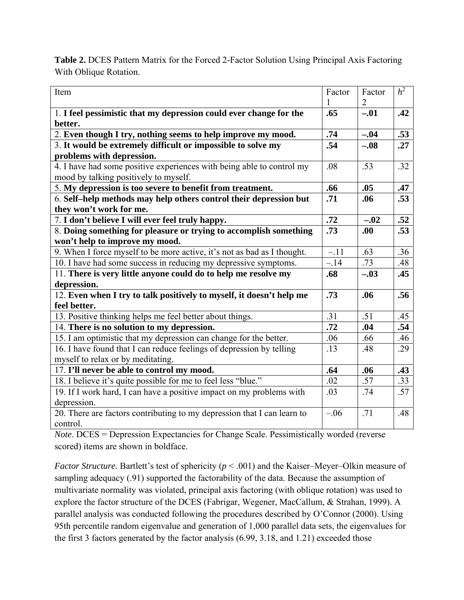**Table 2.** DCES Pattern Matrix for the Forced 2-Factor Solution Using Principal Axis Factoring With Oblique Rotation.

| Item                                                                    | Factor | Factor         | h <sup>2</sup> |
|-------------------------------------------------------------------------|--------|----------------|----------------|
|                                                                         | 1      | $\overline{2}$ |                |
| 1. I feel pessimistic that my depression could ever change for the      | .65    | $-.01$         | .42            |
| better.                                                                 |        |                |                |
| 2. Even though I try, nothing seems to help improve my mood.            | .74    | $-.04$         | .53            |
| 3. It would be extremely difficult or impossible to solve my            | .54    | $-.08$         | .27            |
| problems with depression.                                               |        |                |                |
| 4. I have had some positive experiences with being able to control my   | .08    | .53            | .32            |
| mood by talking positively to myself.                                   |        |                |                |
| 5. My depression is too severe to benefit from treatment.               | .66    | .05            | .47            |
| 6. Self-help methods may help others control their depression but       | .71    | .06            | .53            |
| they won't work for me.                                                 |        |                |                |
| 7. I don't believe I will ever feel truly happy.                        | .72    | $-.02$         | .52            |
| 8. Doing something for pleasure or trying to accomplish something       | .73    | .00.           | .53            |
| won't help to improve my mood.                                          |        |                |                |
| 9. When I force myself to be more active, it's not as bad as I thought. | $-.11$ | .63            | .36            |
| 10. I have had some success in reducing my depressive symptoms.         | $-.14$ | .73            | .48            |
| 11. There is very little anyone could do to help me resolve my          | .68    | $-.03$         | .45            |
| depression.                                                             |        |                |                |
| 12. Even when I try to talk positively to myself, it doesn't help me    | .73    | .06            | .56            |
| feel better.                                                            |        |                |                |
| 13. Positive thinking helps me feel better about things.                | .31    | .51            | .45            |
| 14. There is no solution to my depression.                              | .72    | .04            | .54            |
| 15. I am optimistic that my depression can change for the better.       | .06    | .66            | .46            |
| 16. I have found that I can reduce feelings of depression by telling    | .13    | .48            | .29            |
| myself to relax or by meditating.                                       |        |                |                |
| 17. I'll never be able to control my mood.                              | .64    | .06            | .43            |
| 18. I believe it's quite possible for me to feel less "blue."           | .02    | .57            | .33            |
| 19. If I work hard, I can have a positive impact on my problems with    | .03    | .74            | .57            |
| depression.                                                             |        |                |                |
| 20. There are factors contributing to my depression that I can learn to | $-.06$ | .71            | .48            |
| control.                                                                |        |                |                |

*Note*. DCES = Depression Expectancies for Change Scale. Pessimistically worded (reverse scored) items are shown in boldface.

*Factor Structure.* Bartlett's test of sphericity ( $p < .001$ ) and the Kaiser–Meyer–Olkin measure of sampling adequacy (.91) supported the factorability of the data. Because the assumption of multivariate normality was violated, principal axis factoring (with oblique rotation) was used to explore the factor structure of the DCES (Fabrigar, Wegener, MacCallum, & Strahan, 1999). A parallel analysis was conducted following the procedures described by O'Connor (2000). Using 95th percentile random eigenvalue and generation of 1,000 parallel data sets, the eigenvalues for the first 3 factors generated by the factor analysis (6.99, 3.18, and 1.21) exceeded those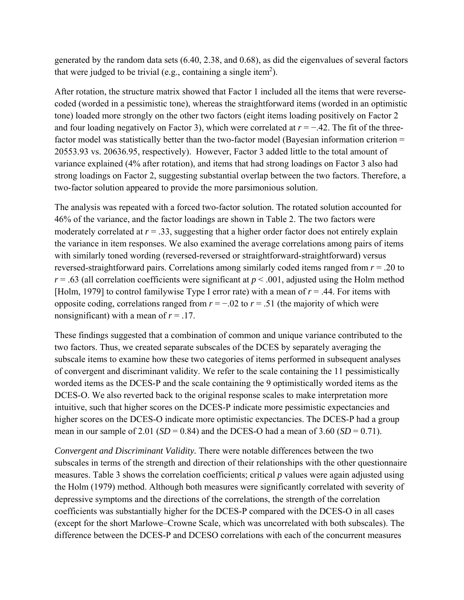generated by the random data sets (6.40, 2.38, and 0.68), as did the eigenvalues of several factors that were judged to be trivial (e.g., containing a single item<sup>2</sup>).

After rotation, the structure matrix showed that Factor 1 included all the items that were reversecoded (worded in a pessimistic tone), whereas the straightforward items (worded in an optimistic tone) loaded more strongly on the other two factors (eight items loading positively on Factor 2 and four loading negatively on Factor 3), which were correlated at *r* = −.42. The fit of the threefactor model was statistically better than the two-factor model (Bayesian information criterion = 20553.93 vs. 20636.95, respectively). However, Factor 3 added little to the total amount of variance explained (4% after rotation), and items that had strong loadings on Factor 3 also had strong loadings on Factor 2, suggesting substantial overlap between the two factors. Therefore, a two-factor solution appeared to provide the more parsimonious solution.

The analysis was repeated with a forced two-factor solution. The rotated solution accounted for 46% of the variance, and the factor loadings are shown in Table 2. The two factors were moderately correlated at  $r = 0.33$ , suggesting that a higher order factor does not entirely explain the variance in item responses. We also examined the average correlations among pairs of items with similarly toned wording (reversed-reversed or straightforward-straightforward) versus reversed-straightforward pairs. Correlations among similarly coded items ranged from *r* = .20 to  $r = 0.63$  (all correlation coefficients were significant at  $p < 0.001$ , adjusted using the Holm method [Holm, 1979] to control familywise Type I error rate) with a mean of *r* = .44. For items with opposite coding, correlations ranged from *r* = −.02 to *r* = .51 (the majority of which were nonsignificant) with a mean of  $r = .17$ .

These findings suggested that a combination of common and unique variance contributed to the two factors. Thus, we created separate subscales of the DCES by separately averaging the subscale items to examine how these two categories of items performed in subsequent analyses of convergent and discriminant validity. We refer to the scale containing the 11 pessimistically worded items as the DCES-P and the scale containing the 9 optimistically worded items as the DCES-O. We also reverted back to the original response scales to make interpretation more intuitive, such that higher scores on the DCES-P indicate more pessimistic expectancies and higher scores on the DCES-O indicate more optimistic expectancies. The DCES-P had a group mean in our sample of 2.01 ( $SD = 0.84$ ) and the DCES-O had a mean of 3.60 ( $SD = 0.71$ ).

*Convergent and Discriminant Validity.* There were notable differences between the two subscales in terms of the strength and direction of their relationships with the other questionnaire measures. Table 3 shows the correlation coefficients; critical *p* values were again adjusted using the Holm (1979) method. Although both measures were significantly correlated with severity of depressive symptoms and the directions of the correlations, the strength of the correlation coefficients was substantially higher for the DCES-P compared with the DCES-O in all cases (except for the short Marlowe–Crowne Scale, which was uncorrelated with both subscales). The difference between the DCES-P and DCESO correlations with each of the concurrent measures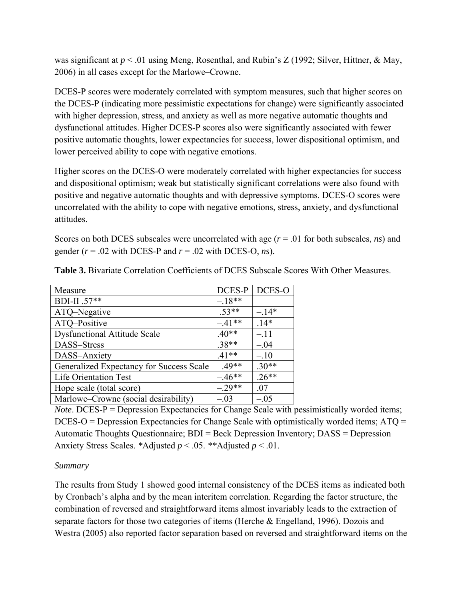was significant at  $p < 0$ 1 using Meng, Rosenthal, and Rubin's Z (1992; Silver, Hittner, & May, 2006) in all cases except for the Marlowe–Crowne.

DCES-P scores were moderately correlated with symptom measures, such that higher scores on the DCES-P (indicating more pessimistic expectations for change) were significantly associated with higher depression, stress, and anxiety as well as more negative automatic thoughts and dysfunctional attitudes. Higher DCES-P scores also were significantly associated with fewer positive automatic thoughts, lower expectancies for success, lower dispositional optimism, and lower perceived ability to cope with negative emotions.

Higher scores on the DCES-O were moderately correlated with higher expectancies for success and dispositional optimism; weak but statistically significant correlations were also found with positive and negative automatic thoughts and with depressive symptoms. DCES-O scores were uncorrelated with the ability to cope with negative emotions, stress, anxiety, and dysfunctional attitudes.

Scores on both DCES subscales were uncorrelated with age (*r* = .01 for both subscales, *ns*) and gender  $(r = .02 \text{ with DCES-P and } r = .02 \text{ with DCES-O, } ns)$ .

| Measure                                  | DCES-P   | DCES-O  |
|------------------------------------------|----------|---------|
| BDI-II .57**                             | $-.18**$ |         |
| ATQ-Negative                             | $.53**$  | $-.14*$ |
| ATQ-Positive                             | $-.41**$ | $.14*$  |
| <b>Dysfunctional Attitude Scale</b>      | $.40**$  | $-.11$  |
| DASS-Stress                              | $.38**$  | $-.04$  |
| DASS-Anxiety                             | $.41**$  | $-.10$  |
| Generalized Expectancy for Success Scale | $-49**$  | $.30**$ |
| Life Orientation Test                    | $-.46**$ | $.26**$ |
| Hope scale (total score)                 | $-.29**$ | .07     |
| Marlowe–Crowne (social desirability)     | $-.03$   | $-.05$  |

**Table 3.** Bivariate Correlation Coefficients of DCES Subscale Scores With Other Measures.

*Note*. DCES-P = Depression Expectancies for Change Scale with pessimistically worded items;  $DCES-O = Depression Expectances for Change Scale with optimistically word ed items; ATQ =$ Automatic Thoughts Questionnaire; BDI = Beck Depression Inventory; DASS = Depression Anxiety Stress Scales. *\**Adjusted *p* < .05. *\*\**Adjusted *p* < .01.

### *Summary*

The results from Study 1 showed good internal consistency of the DCES items as indicated both by Cronbach's alpha and by the mean interitem correlation. Regarding the factor structure, the combination of reversed and straightforward items almost invariably leads to the extraction of separate factors for those two categories of items (Herche & Engelland, 1996). Dozois and Westra (2005) also reported factor separation based on reversed and straightforward items on the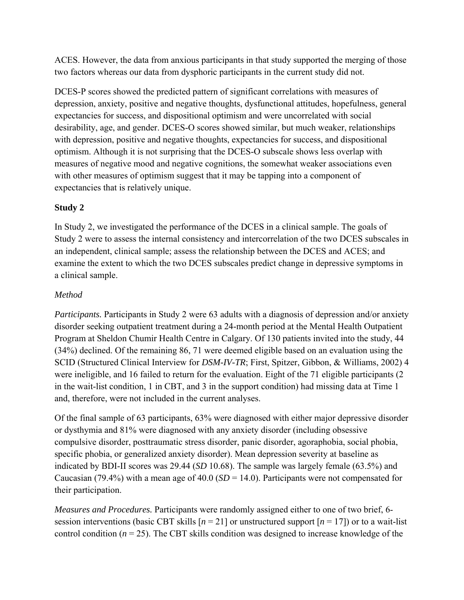ACES. However, the data from anxious participants in that study supported the merging of those two factors whereas our data from dysphoric participants in the current study did not.

DCES-P scores showed the predicted pattern of significant correlations with measures of depression, anxiety, positive and negative thoughts, dysfunctional attitudes, hopefulness, general expectancies for success, and dispositional optimism and were uncorrelated with social desirability, age, and gender. DCES-O scores showed similar, but much weaker, relationships with depression, positive and negative thoughts, expectancies for success, and dispositional optimism. Although it is not surprising that the DCES-O subscale shows less overlap with measures of negative mood and negative cognitions, the somewhat weaker associations even with other measures of optimism suggest that it may be tapping into a component of expectancies that is relatively unique.

# **Study 2**

In Study 2, we investigated the performance of the DCES in a clinical sample. The goals of Study 2 were to assess the internal consistency and intercorrelation of the two DCES subscales in an independent, clinical sample; assess the relationship between the DCES and ACES; and examine the extent to which the two DCES subscales predict change in depressive symptoms in a clinical sample.

# *Method*

*Participants.* Participants in Study 2 were 63 adults with a diagnosis of depression and/or anxiety disorder seeking outpatient treatment during a 24-month period at the Mental Health Outpatient Program at Sheldon Chumir Health Centre in Calgary. Of 130 patients invited into the study, 44 (34%) declined. Of the remaining 86, 71 were deemed eligible based on an evaluation using the SCID (Structured Clinical Interview for *DSM-IV-TR*; First, Spitzer, Gibbon, & Williams, 2002) 4 were ineligible, and 16 failed to return for the evaluation. Eight of the 71 eligible participants (2 in the wait-list condition, 1 in CBT, and 3 in the support condition) had missing data at Time 1 and, therefore, were not included in the current analyses.

Of the final sample of 63 participants, 63% were diagnosed with either major depressive disorder or dysthymia and 81% were diagnosed with any anxiety disorder (including obsessive compulsive disorder, posttraumatic stress disorder, panic disorder, agoraphobia, social phobia, specific phobia, or generalized anxiety disorder). Mean depression severity at baseline as indicated by BDI-II scores was 29.44 (*SD* 10.68). The sample was largely female (63.5%) and Caucasian (79.4%) with a mean age of 40.0 (*SD* = 14.0). Participants were not compensated for their participation.

*Measures and Procedures.* Participants were randomly assigned either to one of two brief, 6 session interventions (basic CBT skills [*n* = 21] or unstructured support [*n* = 17]) or to a wait-list control condition (*n* = 25). The CBT skills condition was designed to increase knowledge of the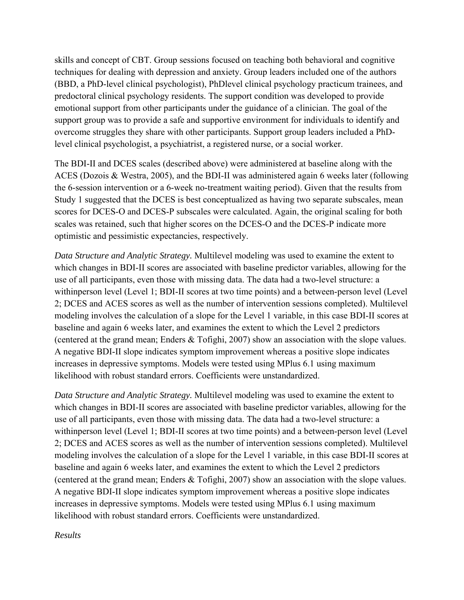skills and concept of CBT. Group sessions focused on teaching both behavioral and cognitive techniques for dealing with depression and anxiety. Group leaders included one of the authors (BBD, a PhD-level clinical psychologist), PhDlevel clinical psychology practicum trainees, and predoctoral clinical psychology residents. The support condition was developed to provide emotional support from other participants under the guidance of a clinician. The goal of the support group was to provide a safe and supportive environment for individuals to identify and overcome struggles they share with other participants. Support group leaders included a PhDlevel clinical psychologist, a psychiatrist, a registered nurse, or a social worker.

The BDI-II and DCES scales (described above) were administered at baseline along with the ACES (Dozois & Westra, 2005), and the BDI-II was administered again 6 weeks later (following the 6-session intervention or a 6-week no-treatment waiting period). Given that the results from Study 1 suggested that the DCES is best conceptualized as having two separate subscales, mean scores for DCES-O and DCES-P subscales were calculated. Again, the original scaling for both scales was retained, such that higher scores on the DCES-O and the DCES-P indicate more optimistic and pessimistic expectancies, respectively.

*Data Structure and Analytic Strategy.* Multilevel modeling was used to examine the extent to which changes in BDI-II scores are associated with baseline predictor variables, allowing for the use of all participants, even those with missing data. The data had a two-level structure: a withinperson level (Level 1; BDI-II scores at two time points) and a between-person level (Level 2; DCES and ACES scores as well as the number of intervention sessions completed). Multilevel modeling involves the calculation of a slope for the Level 1 variable, in this case BDI-II scores at baseline and again 6 weeks later, and examines the extent to which the Level 2 predictors (centered at the grand mean; Enders & Tofighi, 2007) show an association with the slope values. A negative BDI-II slope indicates symptom improvement whereas a positive slope indicates increases in depressive symptoms. Models were tested using MPlus 6.1 using maximum likelihood with robust standard errors. Coefficients were unstandardized.

*Data Structure and Analytic Strategy.* Multilevel modeling was used to examine the extent to which changes in BDI-II scores are associated with baseline predictor variables, allowing for the use of all participants, even those with missing data. The data had a two-level structure: a withinperson level (Level 1; BDI-II scores at two time points) and a between-person level (Level 2; DCES and ACES scores as well as the number of intervention sessions completed). Multilevel modeling involves the calculation of a slope for the Level 1 variable, in this case BDI-II scores at baseline and again 6 weeks later, and examines the extent to which the Level 2 predictors (centered at the grand mean; Enders & Tofighi, 2007) show an association with the slope values. A negative BDI-II slope indicates symptom improvement whereas a positive slope indicates increases in depressive symptoms. Models were tested using MPlus 6.1 using maximum likelihood with robust standard errors. Coefficients were unstandardized.

*Results*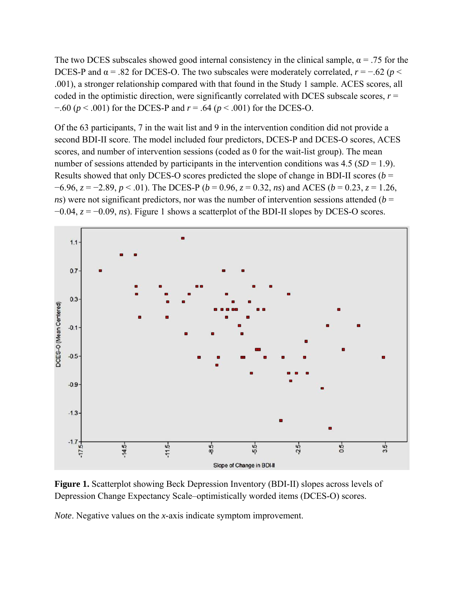The two DCES subscales showed good internal consistency in the clinical sample,  $\alpha$  = .75 for the DCES-P and  $\alpha$  = .82 for DCES-O. The two subscales were moderately correlated,  $r = -0.62$  ( $p <$ .001), a stronger relationship compared with that found in the Study 1 sample. ACES scores, all coded in the optimistic direction, were significantly correlated with DCES subscale scores,  $r =$ −.60 (*p* < .001) for the DCES-P and *r* = .64 (*p* < .001) for the DCES-O.

Of the 63 participants, 7 in the wait list and 9 in the intervention condition did not provide a second BDI-II score. The model included four predictors, DCES-P and DCES-O scores, ACES scores, and number of intervention sessions (coded as 0 for the wait-list group). The mean number of sessions attended by participants in the intervention conditions was 4.5 (*SD* = 1.9). Results showed that only DCES-O scores predicted the slope of change in BDI-II scores ( $b =$ −6.96, *z* = −2.89, *p* < .01). The DCES-P (*b* = 0.96, *z* = 0.32, *ns*) and ACES (*b* = 0.23, *z* = 1.26, *ns*) were not significant predictors, nor was the number of intervention sessions attended ( $b =$ −0.04, *z* = −0.09, *ns*). Figure 1 shows a scatterplot of the BDI-II slopes by DCES-O scores.



**Figure 1.** Scatterplot showing Beck Depression Inventory (BDI-II) slopes across levels of Depression Change Expectancy Scale–optimistically worded items (DCES-O) scores.

*Note*. Negative values on the *x*-axis indicate symptom improvement.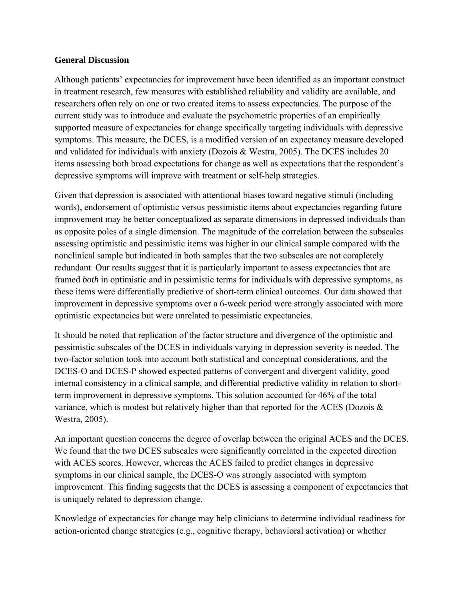#### **General Discussion**

Although patients' expectancies for improvement have been identified as an important construct in treatment research, few measures with established reliability and validity are available, and researchers often rely on one or two created items to assess expectancies. The purpose of the current study was to introduce and evaluate the psychometric properties of an empirically supported measure of expectancies for change specifically targeting individuals with depressive symptoms. This measure, the DCES, is a modified version of an expectancy measure developed and validated for individuals with anxiety (Dozois & Westra, 2005). The DCES includes 20 items assessing both broad expectations for change as well as expectations that the respondent's depressive symptoms will improve with treatment or self-help strategies.

Given that depression is associated with attentional biases toward negative stimuli (including words), endorsement of optimistic versus pessimistic items about expectancies regarding future improvement may be better conceptualized as separate dimensions in depressed individuals than as opposite poles of a single dimension. The magnitude of the correlation between the subscales assessing optimistic and pessimistic items was higher in our clinical sample compared with the nonclinical sample but indicated in both samples that the two subscales are not completely redundant. Our results suggest that it is particularly important to assess expectancies that are framed *both* in optimistic and in pessimistic terms for individuals with depressive symptoms, as these items were differentially predictive of short-term clinical outcomes. Our data showed that improvement in depressive symptoms over a 6-week period were strongly associated with more optimistic expectancies but were unrelated to pessimistic expectancies.

It should be noted that replication of the factor structure and divergence of the optimistic and pessimistic subscales of the DCES in individuals varying in depression severity is needed. The two-factor solution took into account both statistical and conceptual considerations, and the DCES-O and DCES-P showed expected patterns of convergent and divergent validity, good internal consistency in a clinical sample, and differential predictive validity in relation to shortterm improvement in depressive symptoms. This solution accounted for 46% of the total variance, which is modest but relatively higher than that reported for the ACES (Dozois & Westra, 2005).

An important question concerns the degree of overlap between the original ACES and the DCES. We found that the two DCES subscales were significantly correlated in the expected direction with ACES scores. However, whereas the ACES failed to predict changes in depressive symptoms in our clinical sample, the DCES-O was strongly associated with symptom improvement. This finding suggests that the DCES is assessing a component of expectancies that is uniquely related to depression change.

Knowledge of expectancies for change may help clinicians to determine individual readiness for action-oriented change strategies (e.g., cognitive therapy, behavioral activation) or whether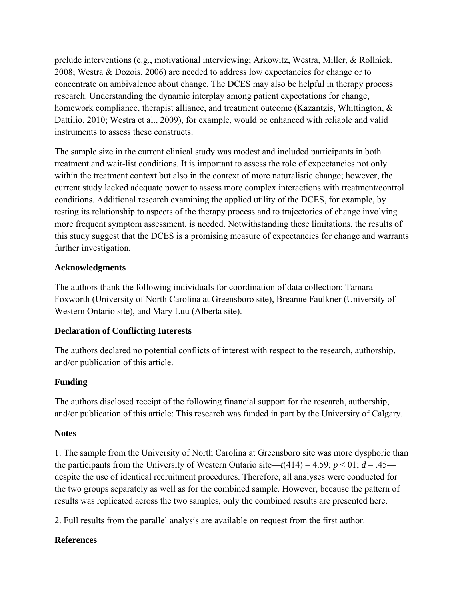prelude interventions (e.g., motivational interviewing; Arkowitz, Westra, Miller, & Rollnick, 2008; Westra & Dozois, 2006) are needed to address low expectancies for change or to concentrate on ambivalence about change. The DCES may also be helpful in therapy process research. Understanding the dynamic interplay among patient expectations for change, homework compliance, therapist alliance, and treatment outcome (Kazantzis, Whittington, & Dattilio, 2010; Westra et al., 2009), for example, would be enhanced with reliable and valid instruments to assess these constructs.

The sample size in the current clinical study was modest and included participants in both treatment and wait-list conditions. It is important to assess the role of expectancies not only within the treatment context but also in the context of more naturalistic change; however, the current study lacked adequate power to assess more complex interactions with treatment/control conditions. Additional research examining the applied utility of the DCES, for example, by testing its relationship to aspects of the therapy process and to trajectories of change involving more frequent symptom assessment, is needed. Notwithstanding these limitations, the results of this study suggest that the DCES is a promising measure of expectancies for change and warrants further investigation.

### **Acknowledgments**

The authors thank the following individuals for coordination of data collection: Tamara Foxworth (University of North Carolina at Greensboro site), Breanne Faulkner (University of Western Ontario site), and Mary Luu (Alberta site).

# **Declaration of Conflicting Interests**

The authors declared no potential conflicts of interest with respect to the research, authorship, and/or publication of this article.

# **Funding**

The authors disclosed receipt of the following financial support for the research, authorship, and/or publication of this article: This research was funded in part by the University of Calgary.

# **Notes**

1. The sample from the University of North Carolina at Greensboro site was more dysphoric than the participants from the University of Western Ontario site— $t(414) = 4.59$ ;  $p < 01$ ;  $d = .45$  despite the use of identical recruitment procedures. Therefore, all analyses were conducted for the two groups separately as well as for the combined sample. However, because the pattern of results was replicated across the two samples, only the combined results are presented here.

2. Full results from the parallel analysis are available on request from the first author.

# **References**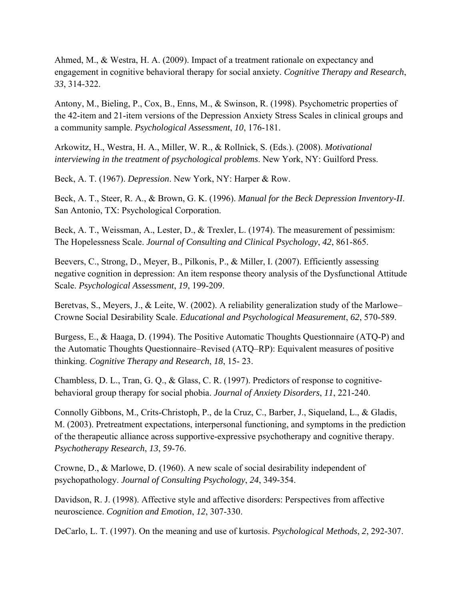Ahmed, M., & Westra, H. A. (2009). Impact of a treatment rationale on expectancy and engagement in cognitive behavioral therapy for social anxiety. *Cognitive Therapy and Research*, *33*, 314-322.

Antony, M., Bieling, P., Cox, B., Enns, M., & Swinson, R. (1998). Psychometric properties of the 42-item and 21-item versions of the Depression Anxiety Stress Scales in clinical groups and a community sample. *Psychological Assessment*, *10*, 176-181.

Arkowitz, H., Westra, H. A., Miller, W. R., & Rollnick, S. (Eds.). (2008). *Motivational interviewing in the treatment of psychological problems*. New York, NY: Guilford Press.

Beck, A. T. (1967). *Depression*. New York, NY: Harper & Row.

Beck, A. T., Steer, R. A., & Brown, G. K. (1996). *Manual for the Beck Depression Inventory-II*. San Antonio, TX: Psychological Corporation.

Beck, A. T., Weissman, A., Lester, D., & Trexler, L. (1974). The measurement of pessimism: The Hopelessness Scale. *Journal of Consulting and Clinical Psychology*, *42*, 861-865.

Beevers, C., Strong, D., Meyer, B., Pilkonis, P., & Miller, I. (2007). Efficiently assessing negative cognition in depression: An item response theory analysis of the Dysfunctional Attitude Scale. *Psychological Assessment*, *19*, 199-209.

Beretvas, S., Meyers, J., & Leite, W. (2002). A reliability generalization study of the Marlowe– Crowne Social Desirability Scale. *Educational and Psychological Measurement*, *62*, 570-589.

Burgess, E., & Haaga, D. (1994). The Positive Automatic Thoughts Questionnaire (ATQ-P) and the Automatic Thoughts Questionnaire–Revised (ATQ–RP): Equivalent measures of positive thinking. *Cognitive Therapy and Research*, *18*, 15- 23.

Chambless, D. L., Tran, G. Q., & Glass, C. R. (1997). Predictors of response to cognitivebehavioral group therapy for social phobia. *Journal of Anxiety Disorders*, *11*, 221-240.

Connolly Gibbons, M., Crits-Christoph, P., de la Cruz, C., Barber, J., Siqueland, L., & Gladis, M. (2003). Pretreatment expectations, interpersonal functioning, and symptoms in the prediction of the therapeutic alliance across supportive-expressive psychotherapy and cognitive therapy. *Psychotherapy Research*, *13*, 59-76.

Crowne, D., & Marlowe, D. (1960). A new scale of social desirability independent of psychopathology. *Journal of Consulting Psychology*, *24*, 349-354.

Davidson, R. J. (1998). Affective style and affective disorders: Perspectives from affective neuroscience. *Cognition and Emotion*, *12*, 307-330.

DeCarlo, L. T. (1997). On the meaning and use of kurtosis. *Psychological Methods*, *2*, 292-307.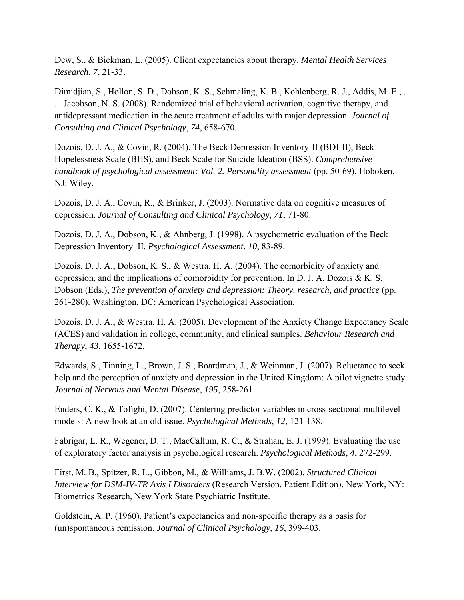Dew, S., & Bickman, L. (2005). Client expectancies about therapy. *Mental Health Services Research*, *7*, 21-33.

Dimidjian, S., Hollon, S. D., Dobson, K. S., Schmaling, K. B., Kohlenberg, R. J., Addis, M. E., . . . Jacobson, N. S. (2008). Randomized trial of behavioral activation, cognitive therapy, and antidepressant medication in the acute treatment of adults with major depression. *Journal of Consulting and Clinical Psychology*, *74*, 658-670.

Dozois, D. J. A., & Covin, R. (2004). The Beck Depression Inventory-II (BDI-II), Beck Hopelessness Scale (BHS), and Beck Scale for Suicide Ideation (BSS). *Comprehensive handbook of psychological assessment: Vol. 2. Personality assessment* (pp. 50-69). Hoboken, NJ: Wiley.

Dozois, D. J. A., Covin, R., & Brinker, J. (2003). Normative data on cognitive measures of depression. *Journal of Consulting and Clinical Psychology*, *71*, 71-80.

Dozois, D. J. A., Dobson, K., & Ahnberg, J. (1998). A psychometric evaluation of the Beck Depression Inventory–II. *Psychological Assessment*, *10*, 83-89.

Dozois, D. J. A., Dobson, K. S., & Westra, H. A. (2004). The comorbidity of anxiety and depression, and the implications of comorbidity for prevention. In D. J. A. Dozois & K. S. Dobson (Eds.), *The prevention of anxiety and depression: Theory, research, and practice* (pp. 261-280). Washington, DC: American Psychological Association.

Dozois, D. J. A., & Westra, H. A. (2005). Development of the Anxiety Change Expectancy Scale (ACES) and validation in college, community, and clinical samples. *Behaviour Research and Therapy*, *43*, 1655-1672.

Edwards, S., Tinning, L., Brown, J. S., Boardman, J., & Weinman, J. (2007). Reluctance to seek help and the perception of anxiety and depression in the United Kingdom: A pilot vignette study. *Journal of Nervous and Mental Disease*, *195*, 258-261.

Enders, C. K., & Tofighi, D. (2007). Centering predictor variables in cross-sectional multilevel models: A new look at an old issue. *Psychological Methods*, *12*, 121-138.

Fabrigar, L. R., Wegener, D. T., MacCallum, R. C., & Strahan, E. J. (1999). Evaluating the use of exploratory factor analysis in psychological research. *Psychological Methods*, *4*, 272-299.

First, M. B., Spitzer, R. L., Gibbon, M., & Williams, J. B.W. (2002). *Structured Clinical Interview for DSM-IV-TR Axis I Disorders* (Research Version, Patient Edition). New York, NY: Biometrics Research, New York State Psychiatric Institute.

Goldstein, A. P. (1960). Patient's expectancies and non-specific therapy as a basis for (un)spontaneous remission. *Journal of Clinical Psychology*, *16*, 399-403.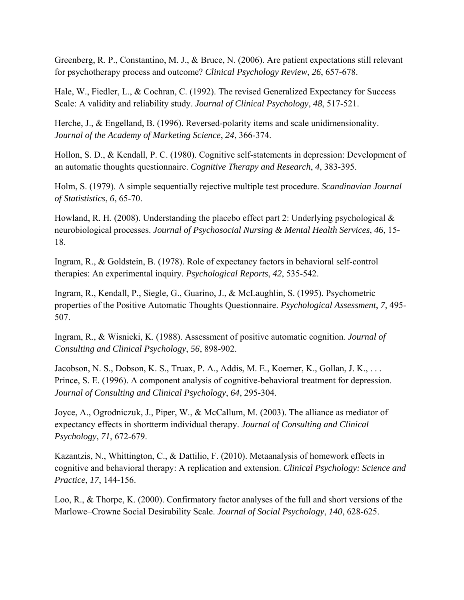Greenberg, R. P., Constantino, M. J., & Bruce, N. (2006). Are patient expectations still relevant for psychotherapy process and outcome? *Clinical Psychology Review*, *26*, 657-678.

Hale, W., Fiedler, L., & Cochran, C. (1992). The revised Generalized Expectancy for Success Scale: A validity and reliability study. *Journal of Clinical Psychology*, *48*, 517-521.

Herche, J., & Engelland, B. (1996). Reversed-polarity items and scale unidimensionality. *Journal of the Academy of Marketing Science*, *24*, 366-374.

Hollon, S. D., & Kendall, P. C. (1980). Cognitive self-statements in depression: Development of an automatic thoughts questionnaire. *Cognitive Therapy and Research*, *4*, 383-395.

Holm, S. (1979). A simple sequentially rejective multiple test procedure. *Scandinavian Journal of Statististics*, *6*, 65-70.

Howland, R. H. (2008). Understanding the placebo effect part 2: Underlying psychological  $\&$ neurobiological processes. *Journal of Psychosocial Nursing & Mental Health Services*, *46*, 15- 18.

Ingram, R., & Goldstein, B. (1978). Role of expectancy factors in behavioral self-control therapies: An experimental inquiry. *Psychological Reports*, *42*, 535-542.

Ingram, R., Kendall, P., Siegle, G., Guarino, J., & McLaughlin, S. (1995). Psychometric properties of the Positive Automatic Thoughts Questionnaire. *Psychological Assessment*, *7*, 495- 507.

Ingram, R., & Wisnicki, K. (1988). Assessment of positive automatic cognition. *Journal of Consulting and Clinical Psychology*, *56*, 898-902.

Jacobson, N. S., Dobson, K. S., Truax, P. A., Addis, M. E., Koerner, K., Gollan, J. K., . . . Prince, S. E. (1996). A component analysis of cognitive-behavioral treatment for depression. *Journal of Consulting and Clinical Psychology*, *64*, 295-304.

Joyce, A., Ogrodniczuk, J., Piper, W., & McCallum, M. (2003). The alliance as mediator of expectancy effects in shortterm individual therapy. *Journal of Consulting and Clinical Psychology*, *71*, 672-679.

Kazantzis, N., Whittington, C., & Dattilio, F. (2010). Metaanalysis of homework effects in cognitive and behavioral therapy: A replication and extension. *Clinical Psychology: Science and Practice*, *17*, 144-156.

Loo, R., & Thorpe, K. (2000). Confirmatory factor analyses of the full and short versions of the Marlowe–Crowne Social Desirability Scale. *Journal of Social Psychology*, *140*, 628-625.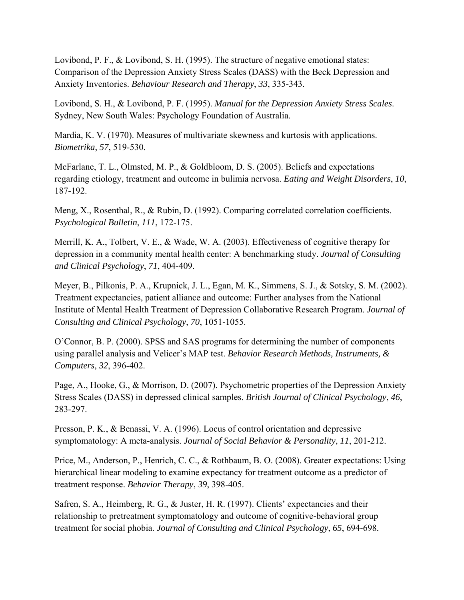Lovibond, P. F., & Lovibond, S. H. (1995). The structure of negative emotional states: Comparison of the Depression Anxiety Stress Scales (DASS) with the Beck Depression and Anxiety Inventories. *Behaviour Research and Therapy*, *33*, 335-343.

Lovibond, S. H., & Lovibond, P. F. (1995). *Manual for the Depression Anxiety Stress Scales*. Sydney, New South Wales: Psychology Foundation of Australia.

Mardia, K. V. (1970). Measures of multivariate skewness and kurtosis with applications. *Biometrika*, *57*, 519-530.

McFarlane, T. L., Olmsted, M. P., & Goldbloom, D. S. (2005). Beliefs and expectations regarding etiology, treatment and outcome in bulimia nervosa. *Eating and Weight Disorders*, *10*, 187-192.

Meng, X., Rosenthal, R., & Rubin, D. (1992). Comparing correlated correlation coefficients. *Psychological Bulletin*, *111*, 172-175.

Merrill, K. A., Tolbert, V. E., & Wade, W. A. (2003). Effectiveness of cognitive therapy for depression in a community mental health center: A benchmarking study. *Journal of Consulting and Clinical Psychology*, *71*, 404-409.

Meyer, B., Pilkonis, P. A., Krupnick, J. L., Egan, M. K., Simmens, S. J., & Sotsky, S. M. (2002). Treatment expectancies, patient alliance and outcome: Further analyses from the National Institute of Mental Health Treatment of Depression Collaborative Research Program. *Journal of Consulting and Clinical Psychology*, *70*, 1051-1055.

O'Connor, B. P. (2000). SPSS and SAS programs for determining the number of components using parallel analysis and Velicer's MAP test. *Behavior Research Methods, Instruments, & Computers*, *32*, 396-402.

Page, A., Hooke, G., & Morrison, D. (2007). Psychometric properties of the Depression Anxiety Stress Scales (DASS) in depressed clinical samples. *British Journal of Clinical Psychology*, *46*, 283-297.

Presson, P. K., & Benassi, V. A. (1996). Locus of control orientation and depressive symptomatology: A meta-analysis. *Journal of Social Behavior & Personality*, *11*, 201-212.

Price, M., Anderson, P., Henrich, C. C., & Rothbaum, B. O. (2008). Greater expectations: Using hierarchical linear modeling to examine expectancy for treatment outcome as a predictor of treatment response. *Behavior Therapy*, *39*, 398-405.

Safren, S. A., Heimberg, R. G., & Juster, H. R. (1997). Clients' expectancies and their relationship to pretreatment symptomatology and outcome of cognitive-behavioral group treatment for social phobia. *Journal of Consulting and Clinical Psychology*, *65*, 694-698.